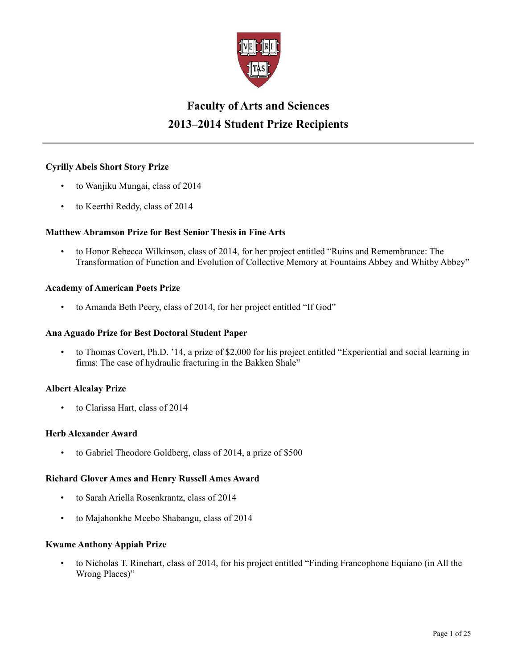

# **Faculty of Arts and Sciences 2013–2014 Student Prize Recipients**

# **Cyrilly Abels Short Story Prize**

- to Wanjiku Mungai, class of 2014
- to Keerthi Reddy, class of 2014

# **Matthew Abramson Prize for Best Senior Thesis in Fine Arts**

• to Honor Rebecca Wilkinson, class of 2014, for her project entitled "Ruins and Remembrance: The Transformation of Function and Evolution of Collective Memory at Fountains Abbey and Whitby Abbey"

# **Academy of American Poets Prize**

• to Amanda Beth Peery, class of 2014, for her project entitled "If God"

# **Ana Aguado Prize for Best Doctoral Student Paper**

• to Thomas Covert, Ph.D. '14, a prize of \$2,000 for his project entitled "Experiential and social learning in firms: The case of hydraulic fracturing in the Bakken Shale"

# **Albert Alcalay Prize**

• to Clarissa Hart, class of 2014

# **Herb Alexander Award**

• to Gabriel Theodore Goldberg, class of 2014, a prize of \$500

# **Richard Glover Ames and Henry Russell Ames Award**

- to Sarah Ariella Rosenkrantz, class of 2014
- to Majahonkhe Mcebo Shabangu, class of 2014

# **Kwame Anthony Appiah Prize**

• to Nicholas T. Rinehart, class of 2014, for his project entitled "Finding Francophone Equiano (in All the Wrong Places)"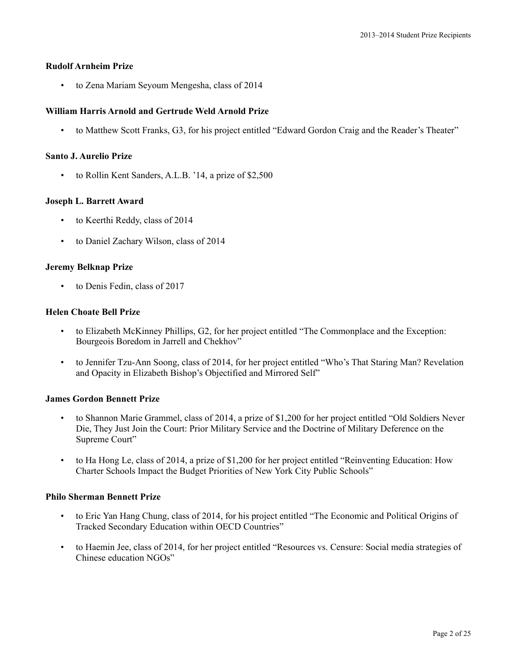### **Rudolf Arnheim Prize**

• to Zena Mariam Seyoum Mengesha, class of 2014

### **William Harris Arnold and Gertrude Weld Arnold Prize**

• to Matthew Scott Franks, G3, for his project entitled "Edward Gordon Craig and the Reader's Theater"

#### **Santo J. Aurelio Prize**

• to Rollin Kent Sanders, A.L.B. '14, a prize of \$2,500

### **Joseph L. Barrett Award**

- to Keerthi Reddy, class of 2014
- to Daniel Zachary Wilson, class of 2014

### **Jeremy Belknap Prize**

• to Denis Fedin, class of 2017

### **Helen Choate Bell Prize**

- to Elizabeth McKinney Phillips, G2, for her project entitled "The Commonplace and the Exception: Bourgeois Boredom in Jarrell and Chekhov"
- to Jennifer Tzu-Ann Soong, class of 2014, for her project entitled "Who's That Staring Man? Revelation and Opacity in Elizabeth Bishop's Objectified and Mirrored Self"

#### **James Gordon Bennett Prize**

- to Shannon Marie Grammel, class of 2014, a prize of \$1,200 for her project entitled "Old Soldiers Never Die, They Just Join the Court: Prior Military Service and the Doctrine of Military Deference on the Supreme Court"
- to Ha Hong Le, class of 2014, a prize of \$1,200 for her project entitled "Reinventing Education: How Charter Schools Impact the Budget Priorities of New York City Public Schools"

#### **Philo Sherman Bennett Prize**

- to Eric Yan Hang Chung, class of 2014, for his project entitled "The Economic and Political Origins of Tracked Secondary Education within OECD Countries"
- to Haemin Jee, class of 2014, for her project entitled "Resources vs. Censure: Social media strategies of Chinese education NGOs"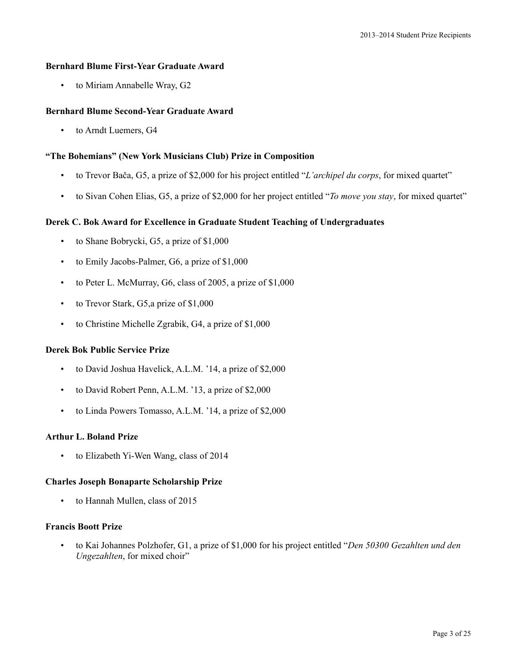### **Bernhard Blume First-Year Graduate Award**

• to Miriam Annabelle Wray, G2

### **Bernhard Blume Second-Year Graduate Award**

• to Arndt Luemers, G4

### **"The Bohemians" (New York Musicians Club) Prize in Composition**

- to Trevor Bača, G5, a prize of \$2,000 for his project entitled "*L'archipel du corps*, for mixed quartet"
- to Sivan Cohen Elias, G5, a prize of \$2,000 for her project entitled "*To move you stay*, for mixed quartet"

# **Derek C. Bok Award for Excellence in Graduate Student Teaching of Undergraduates**

- to Shane Bobrycki, G5, a prize of \$1,000
- to Emily Jacobs-Palmer, G6, a prize of \$1,000
- to Peter L. McMurray, G6, class of 2005, a prize of \$1,000
- to Trevor Stark, G5,a prize of \$1,000
- to Christine Michelle Zgrabik, G4, a prize of \$1,000

#### **Derek Bok Public Service Prize**

- to David Joshua Havelick, A.L.M. '14, a prize of \$2,000
- to David Robert Penn, A.L.M. '13, a prize of \$2,000
- to Linda Powers Tomasso, A.L.M. '14, a prize of \$2,000

# **Arthur L. Boland Prize**

• to Elizabeth Yi-Wen Wang, class of 2014

#### **Charles Joseph Bonaparte Scholarship Prize**

• to Hannah Mullen, class of 2015

### **Francis Boott Prize**

• to Kai Johannes Polzhofer, G1, a prize of \$1,000 for his project entitled "*Den 50300 Gezahlten und den Ungezahlten*, for mixed choir"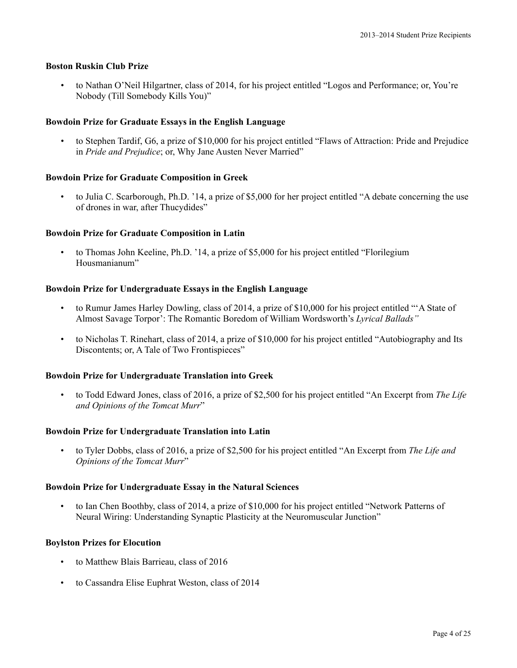# **Boston Ruskin Club Prize**

• to Nathan O'Neil Hilgartner, class of 2014, for his project entitled "Logos and Performance; or, You're Nobody (Till Somebody Kills You)"

### **Bowdoin Prize for Graduate Essays in the English Language**

• to Stephen Tardif, G6, a prize of \$10,000 for his project entitled "Flaws of Attraction: Pride and Prejudice in *Pride and Prejudice*; or, Why Jane Austen Never Married"

### **Bowdoin Prize for Graduate Composition in Greek**

• to Julia C. Scarborough, Ph.D. '14, a prize of \$5,000 for her project entitled "A debate concerning the use of drones in war, after Thucydides"

#### **Bowdoin Prize for Graduate Composition in Latin**

• to Thomas John Keeline, Ph.D. '14, a prize of \$5,000 for his project entitled "Florilegium Housmanianum"

### **Bowdoin Prize for Undergraduate Essays in the English Language**

- to Rumur James Harley Dowling, class of 2014, a prize of \$10,000 for his project entitled "'A State of Almost Savage Torpor': The Romantic Boredom of William Wordsworth's *Lyrical Ballads"*
- to Nicholas T. Rinehart, class of 2014, a prize of \$10,000 for his project entitled "Autobiography and Its Discontents; or, A Tale of Two Frontispieces"

#### **Bowdoin Prize for Undergraduate Translation into Greek**

• to Todd Edward Jones, class of 2016, a prize of \$2,500 for his project entitled "An Excerpt from *The Life and Opinions of the Tomcat Murr*"

#### **Bowdoin Prize for Undergraduate Translation into Latin**

• to Tyler Dobbs, class of 2016, a prize of \$2,500 for his project entitled "An Excerpt from *The Life and Opinions of the Tomcat Murr*"

#### **Bowdoin Prize for Undergraduate Essay in the Natural Sciences**

• to Ian Chen Boothby, class of 2014, a prize of \$10,000 for his project entitled "Network Patterns of Neural Wiring: Understanding Synaptic Plasticity at the Neuromuscular Junction"

#### **Boylston Prizes for Elocution**

- to Matthew Blais Barrieau, class of 2016
- to Cassandra Elise Euphrat Weston, class of 2014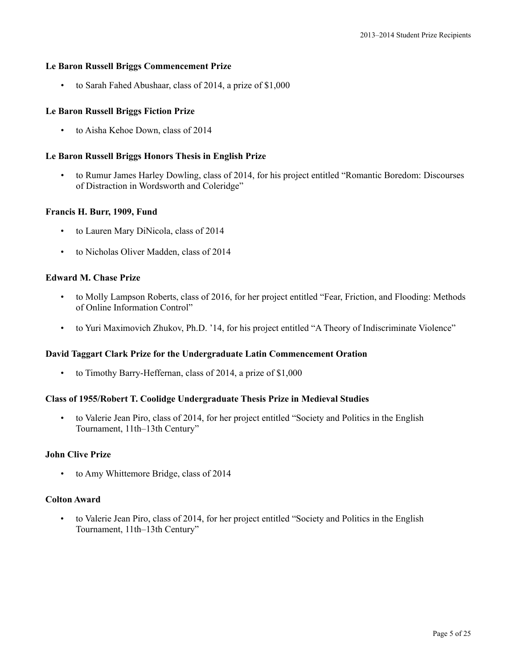### **Le Baron Russell Briggs Commencement Prize**

• to Sarah Fahed Abushaar, class of 2014, a prize of \$1,000

### **Le Baron Russell Briggs Fiction Prize**

• to Aisha Kehoe Down, class of 2014

### **Le Baron Russell Briggs Honors Thesis in English Prize**

• to Rumur James Harley Dowling, class of 2014, for his project entitled "Romantic Boredom: Discourses of Distraction in Wordsworth and Coleridge"

#### **Francis H. Burr, 1909, Fund**

- to Lauren Mary DiNicola, class of 2014
- to Nicholas Oliver Madden, class of 2014

### **Edward M. Chase Prize**

- to Molly Lampson Roberts, class of 2016, for her project entitled "Fear, Friction, and Flooding: Methods of Online Information Control"
- to Yuri Maximovich Zhukov, Ph.D. '14, for his project entitled "A Theory of Indiscriminate Violence"

#### **David Taggart Clark Prize for the Undergraduate Latin Commencement Oration**

• to Timothy Barry-Heffernan, class of 2014, a prize of \$1,000

# **Class of 1955/Robert T. Coolidge Undergraduate Thesis Prize in Medieval Studies**

• to Valerie Jean Piro, class of 2014, for her project entitled "Society and Politics in the English Tournament, 11th–13th Century"

### **John Clive Prize**

• to Amy Whittemore Bridge, class of 2014

### **Colton Award**

• to Valerie Jean Piro, class of 2014, for her project entitled "Society and Politics in the English Tournament, 11th–13th Century"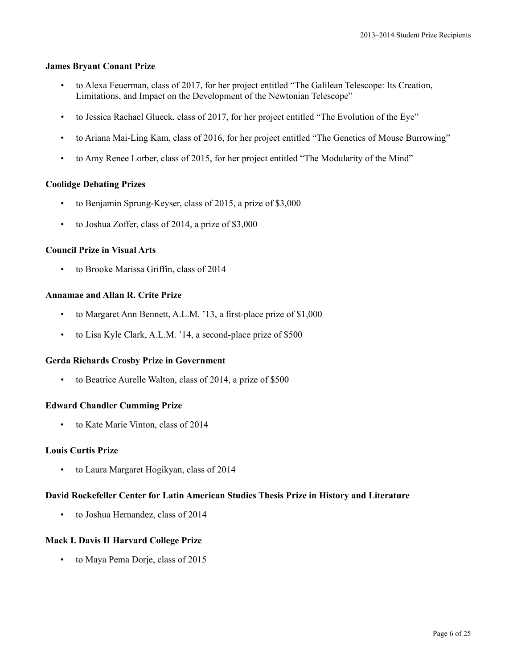### **James Bryant Conant Prize**

- to Alexa Feuerman, class of 2017, for her project entitled "The Galilean Telescope: Its Creation, Limitations, and Impact on the Development of the Newtonian Telescope"
- to Jessica Rachael Glueck, class of 2017, for her project entitled "The Evolution of the Eye"
- to Ariana Mai-Ling Kam, class of 2016, for her project entitled "The Genetics of Mouse Burrowing"
- to Amy Renee Lorber, class of 2015, for her project entitled "The Modularity of the Mind"

### **Coolidge Debating Prizes**

- to Benjamin Sprung-Keyser, class of 2015, a prize of \$3,000
- to Joshua Zoffer, class of 2014, a prize of \$3,000

# **Council Prize in Visual Arts**

• to Brooke Marissa Griffin, class of 2014

# **Annamae and Allan R. Crite Prize**

- to Margaret Ann Bennett, A.L.M. '13, a first-place prize of \$1,000
- to Lisa Kyle Clark, A.L.M. '14, a second-place prize of \$500

#### **Gerda Richards Crosby Prize in Government**

• to Beatrice Aurelle Walton, class of 2014, a prize of \$500

# **Edward Chandler Cumming Prize**

• to Kate Marie Vinton, class of 2014

# **Louis Curtis Prize**

• to Laura Margaret Hogikyan, class of 2014

#### **David Rockefeller Center for Latin American Studies Thesis Prize in History and Literature**

• to Joshua Hernandez, class of 2014

# **Mack I. Davis II Harvard College Prize**

• to Maya Pema Dorje, class of 2015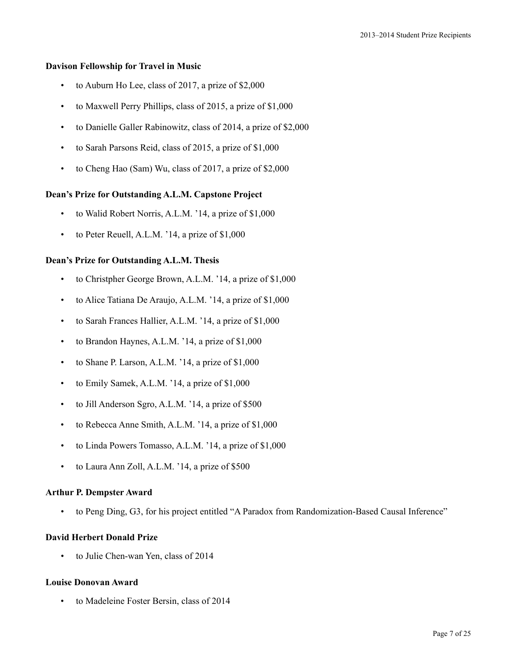### **Davison Fellowship for Travel in Music**

- to Auburn Ho Lee, class of 2017, a prize of \$2,000
- to Maxwell Perry Phillips, class of 2015, a prize of \$1,000
- to Danielle Galler Rabinowitz, class of 2014, a prize of \$2,000
- to Sarah Parsons Reid, class of 2015, a prize of \$1,000
- to Cheng Hao (Sam) Wu, class of 2017, a prize of \$2,000

### **Dean's Prize for Outstanding A.L.M. Capstone Project**

- to Walid Robert Norris, A.L.M. '14, a prize of \$1,000
- to Peter Reuell, A.L.M. '14, a prize of \$1,000

# **Dean's Prize for Outstanding A.L.M. Thesis**

- to Christpher George Brown, A.L.M. '14, a prize of \$1,000
- to Alice Tatiana De Araujo, A.L.M. '14, a prize of \$1,000
- to Sarah Frances Hallier, A.L.M. '14, a prize of \$1,000
- to Brandon Haynes, A.L.M. '14, a prize of \$1,000
- to Shane P. Larson, A.L.M. '14, a prize of \$1,000
- to Emily Samek, A.L.M. '14, a prize of \$1,000
- to Jill Anderson Sgro, A.L.M. '14, a prize of \$500
- to Rebecca Anne Smith, A.L.M. '14, a prize of \$1,000
- to Linda Powers Tomasso, A.L.M. '14, a prize of \$1,000
- to Laura Ann Zoll, A.L.M. '14, a prize of \$500

### **Arthur P. Dempster Award**

• to Peng Ding, G3, for his project entitled "A Paradox from Randomization-Based Causal Inference"

#### **David Herbert Donald Prize**

• to Julie Chen-wan Yen, class of 2014

### **Louise Donovan Award**

• to Madeleine Foster Bersin, class of 2014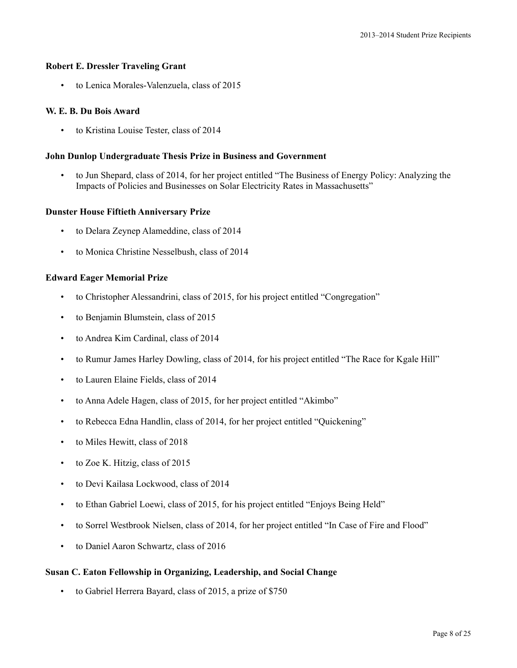#### **Robert E. Dressler Traveling Grant**

• to Lenica Morales-Valenzuela, class of 2015

#### **W. E. B. Du Bois Award**

• to Kristina Louise Tester, class of 2014

#### **John Dunlop Undergraduate Thesis Prize in Business and Government**

• to Jun Shepard, class of 2014, for her project entitled "The Business of Energy Policy: Analyzing the Impacts of Policies and Businesses on Solar Electricity Rates in Massachusetts"

#### **Dunster House Fiftieth Anniversary Prize**

- to Delara Zeynep Alameddine, class of 2014
- to Monica Christine Nesselbush, class of 2014

### **Edward Eager Memorial Prize**

- to Christopher Alessandrini, class of 2015, for his project entitled "Congregation"
- to Benjamin Blumstein, class of 2015
- to Andrea Kim Cardinal, class of 2014
- to Rumur James Harley Dowling, class of 2014, for his project entitled "The Race for Kgale Hill"
- to Lauren Elaine Fields, class of 2014
- to Anna Adele Hagen, class of 2015, for her project entitled "Akimbo"
- to Rebecca Edna Handlin, class of 2014, for her project entitled "Quickening"
- to Miles Hewitt, class of 2018
- to Zoe K. Hitzig, class of 2015
- to Devi Kailasa Lockwood, class of 2014
- to Ethan Gabriel Loewi, class of 2015, for his project entitled "Enjoys Being Held"
- to Sorrel Westbrook Nielsen, class of 2014, for her project entitled "In Case of Fire and Flood"
- to Daniel Aaron Schwartz, class of 2016

#### **Susan C. Eaton Fellowship in Organizing, Leadership, and Social Change**

• to Gabriel Herrera Bayard, class of 2015, a prize of \$750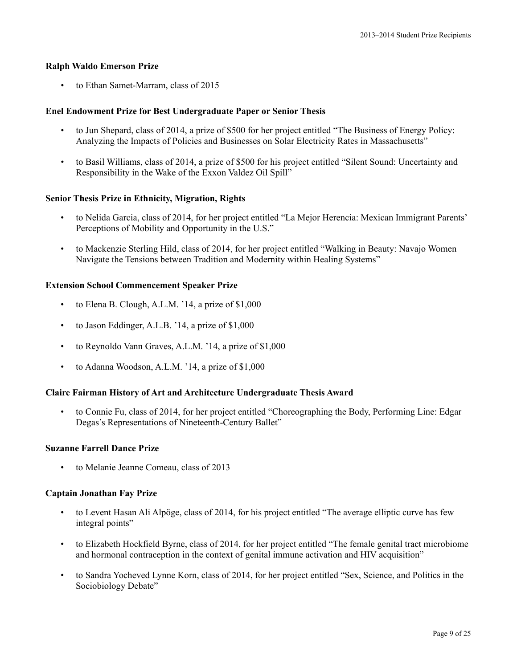### **Ralph Waldo Emerson Prize**

• to Ethan Samet-Marram, class of 2015

### **Enel Endowment Prize for Best Undergraduate Paper or Senior Thesis**

- to Jun Shepard, class of 2014, a prize of \$500 for her project entitled "The Business of Energy Policy: Analyzing the Impacts of Policies and Businesses on Solar Electricity Rates in Massachusetts"
- to Basil Williams, class of 2014, a prize of \$500 for his project entitled "Silent Sound: Uncertainty and Responsibility in the Wake of the Exxon Valdez Oil Spill"

### **Senior Thesis Prize in Ethnicity, Migration, Rights**

- to Nelida Garcia, class of 2014, for her project entitled "La Mejor Herencia: Mexican Immigrant Parents' Perceptions of Mobility and Opportunity in the U.S."
- to Mackenzie Sterling Hild, class of 2014, for her project entitled "Walking in Beauty: Navajo Women Navigate the Tensions between Tradition and Modernity within Healing Systems"

### **Extension School Commencement Speaker Prize**

- to Elena B. Clough, A.L.M. '14, a prize of \$1,000
- to Jason Eddinger, A.L.B. '14, a prize of \$1,000
- to Reynoldo Vann Graves, A.L.M. '14, a prize of \$1,000
- to Adanna Woodson, A.L.M. '14, a prize of \$1,000

#### **Claire Fairman History of Art and Architecture Undergraduate Thesis Award**

• to Connie Fu, class of 2014, for her project entitled "Choreographing the Body, Performing Line: Edgar Degas's Representations of Nineteenth-Century Ballet"

#### **Suzanne Farrell Dance Prize**

to Melanie Jeanne Comeau, class of 2013

#### **Captain Jonathan Fay Prize**

- to Levent Hasan Ali Alpöge, class of 2014, for his project entitled "The average elliptic curve has few integral points"
- to Elizabeth Hockfield Byrne, class of 2014, for her project entitled "The female genital tract microbiome and hormonal contraception in the context of genital immune activation and HIV acquisition"
- to Sandra Yocheved Lynne Korn, class of 2014, for her project entitled "Sex, Science, and Politics in the Sociobiology Debate"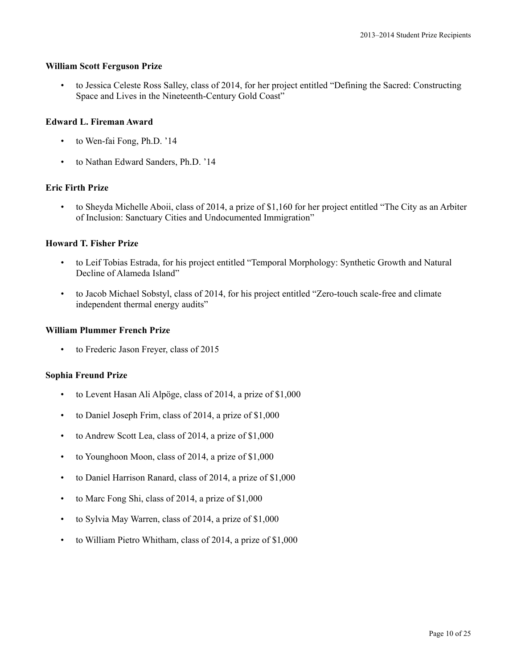#### **William Scott Ferguson Prize**

• to Jessica Celeste Ross Salley, class of 2014, for her project entitled "Defining the Sacred: Constructing Space and Lives in the Nineteenth-Century Gold Coast"

### **Edward L. Fireman Award**

- to Wen-fai Fong, Ph.D. '14
- to Nathan Edward Sanders, Ph.D. '14

# **Eric Firth Prize**

• to Sheyda Michelle Aboii, class of 2014, a prize of \$1,160 for her project entitled "The City as an Arbiter of Inclusion: Sanctuary Cities and Undocumented Immigration"

# **Howard T. Fisher Prize**

- to Leif Tobias Estrada, for his project entitled "Temporal Morphology: Synthetic Growth and Natural Decline of Alameda Island"
- to Jacob Michael Sobstyl, class of 2014, for his project entitled "Zero-touch scale-free and climate independent thermal energy audits"

### **William Plummer French Prize**

• to Frederic Jason Freyer, class of 2015

# **Sophia Freund Prize**

- to Levent Hasan Ali Alpöge, class of 2014, a prize of \$1,000
- to Daniel Joseph Frim, class of 2014, a prize of \$1,000
- to Andrew Scott Lea, class of 2014, a prize of \$1,000
- to Younghoon Moon, class of 2014, a prize of \$1,000
- to Daniel Harrison Ranard, class of 2014, a prize of \$1,000
- to Marc Fong Shi, class of 2014, a prize of \$1,000
- to Sylvia May Warren, class of 2014, a prize of \$1,000
- to William Pietro Whitham, class of 2014, a prize of \$1,000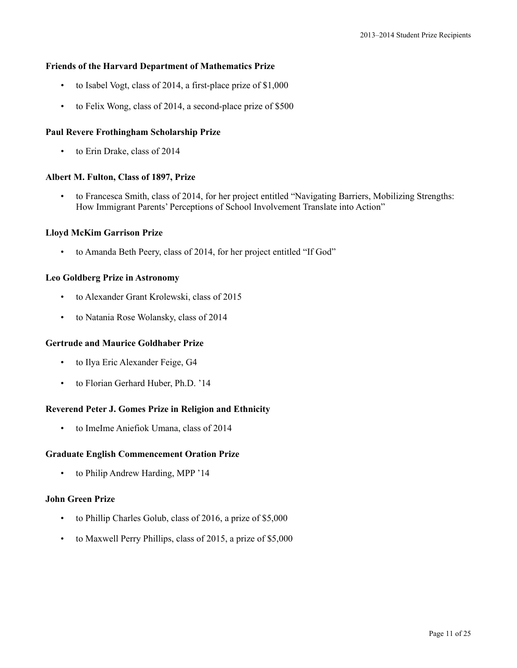### **Friends of the Harvard Department of Mathematics Prize**

- to Isabel Vogt, class of 2014, a first-place prize of \$1,000
- to Felix Wong, class of 2014, a second-place prize of \$500

### **Paul Revere Frothingham Scholarship Prize**

• to Erin Drake, class of 2014

### **Albert M. Fulton, Class of 1897, Prize**

• to Francesca Smith, class of 2014, for her project entitled "Navigating Barriers, Mobilizing Strengths: How Immigrant Parents' Perceptions of School Involvement Translate into Action"

#### **Lloyd McKim Garrison Prize**

• to Amanda Beth Peery, class of 2014, for her project entitled "If God"

### **Leo Goldberg Prize in Astronomy**

- to Alexander Grant Krolewski, class of 2015
- to Natania Rose Wolansky, class of 2014

### **Gertrude and Maurice Goldhaber Prize**

- to Ilya Eric Alexander Feige, G4
- to Florian Gerhard Huber, Ph.D. '14

# **Reverend Peter J. Gomes Prize in Religion and Ethnicity**

• to ImeIme Aniefiok Umana, class of 2014

#### **Graduate English Commencement Oration Prize**

• to Philip Andrew Harding, MPP '14

#### **John Green Prize**

- to Phillip Charles Golub, class of 2016, a prize of \$5,000
- to Maxwell Perry Phillips, class of 2015, a prize of \$5,000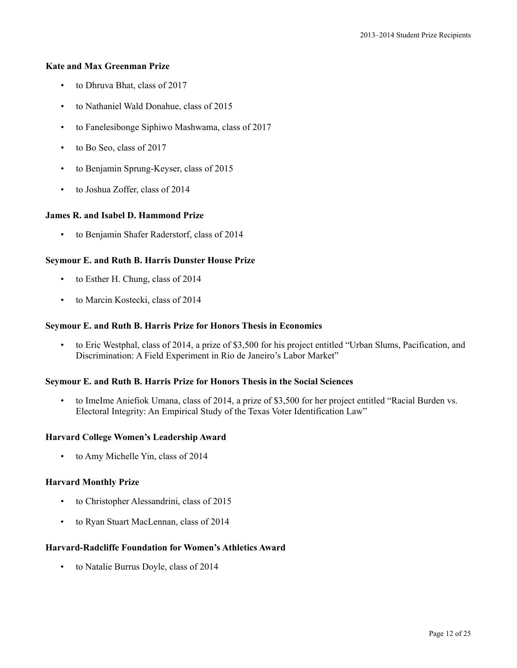### **Kate and Max Greenman Prize**

- to Dhruva Bhat, class of 2017
- to Nathaniel Wald Donahue, class of 2015
- to Fanelesibonge Siphiwo Mashwama, class of 2017
- to Bo Seo, class of 2017
- to Benjamin Sprung-Keyser, class of 2015
- to Joshua Zoffer, class of 2014

# **James R. and Isabel D. Hammond Prize**

• to Benjamin Shafer Raderstorf, class of 2014

# **Seymour E. and Ruth B. Harris Dunster House Prize**

- to Esther H. Chung, class of 2014
- to Marcin Kostecki, class of 2014

### **Seymour E. and Ruth B. Harris Prize for Honors Thesis in Economics**

• to Eric Westphal, class of 2014, a prize of \$3,500 for his project entitled "Urban Slums, Pacification, and Discrimination: A Field Experiment in Rio de Janeiro's Labor Market"

# **Seymour E. and Ruth B. Harris Prize for Honors Thesis in the Social Sciences**

• to ImeIme Aniefiok Umana, class of 2014, a prize of \$3,500 for her project entitled "Racial Burden vs. Electoral Integrity: An Empirical Study of the Texas Voter Identification Law"

### **Harvard College Women's Leadership Award**

• to Amy Michelle Yin, class of 2014

# **Harvard Monthly Prize**

- to Christopher Alessandrini, class of 2015
- to Ryan Stuart MacLennan, class of 2014

# **Harvard-Radcliffe Foundation for Women's Athletics Award**

• to Natalie Burrus Doyle, class of 2014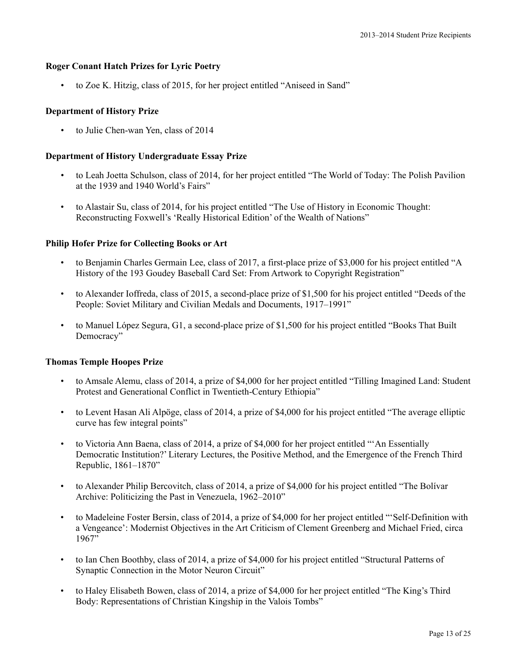# **Roger Conant Hatch Prizes for Lyric Poetry**

• to Zoe K. Hitzig, class of 2015, for her project entitled "Aniseed in Sand"

# **Department of History Prize**

• to Julie Chen-wan Yen, class of 2014

# **Department of History Undergraduate Essay Prize**

- to Leah Joetta Schulson, class of 2014, for her project entitled "The World of Today: The Polish Pavilion at the 1939 and 1940 World's Fairs"
- to Alastair Su, class of 2014, for his project entitled "The Use of History in Economic Thought: Reconstructing Foxwell's 'Really Historical Edition' of the Wealth of Nations"

# **Philip Hofer Prize for Collecting Books or Art**

- to Benjamin Charles Germain Lee, class of 2017, a first-place prize of \$3,000 for his project entitled "A History of the 193 Goudey Baseball Card Set: From Artwork to Copyright Registration"
- to Alexander Ioffreda, class of 2015, a second-place prize of \$1,500 for his project entitled "Deeds of the People: Soviet Military and Civilian Medals and Documents, 1917–1991"
- to Manuel López Segura, G1, a second-place prize of \$1,500 for his project entitled "Books That Built Democracy"

# **Thomas Temple Hoopes Prize**

- to Amsale Alemu, class of 2014, a prize of \$4,000 for her project entitled "Tilling Imagined Land: Student Protest and Generational Conflict in Twentieth-Century Ethiopia"
- to Levent Hasan Ali Alpöge, class of 2014, a prize of \$4,000 for his project entitled "The average elliptic curve has few integral points"
- to Victoria Ann Baena, class of 2014, a prize of \$4,000 for her project entitled "'An Essentially Democratic Institution?' Literary Lectures, the Positive Method, and the Emergence of the French Third Republic, 1861–1870"
- to Alexander Philip Bercovitch, class of 2014, a prize of \$4,000 for his project entitled "The Bolívar Archive: Politicizing the Past in Venezuela, 1962–2010"
- to Madeleine Foster Bersin, class of 2014, a prize of \$4,000 for her project entitled "'Self-Definition with a Vengeance': Modernist Objectives in the Art Criticism of Clement Greenberg and Michael Fried, circa 1967"
- to Ian Chen Boothby, class of 2014, a prize of \$4,000 for his project entitled "Structural Patterns of Synaptic Connection in the Motor Neuron Circuit"
- to Haley Elisabeth Bowen, class of 2014, a prize of \$4,000 for her project entitled "The King's Third Body: Representations of Christian Kingship in the Valois Tombs"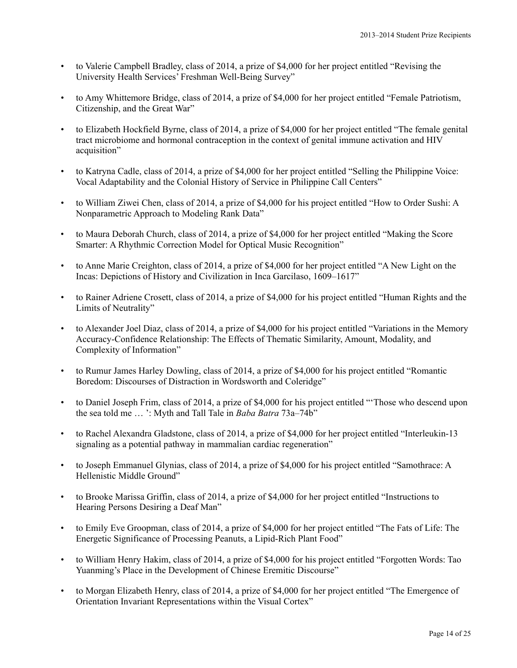- to Valerie Campbell Bradley, class of 2014, a prize of \$4,000 for her project entitled "Revising the University Health Services' Freshman Well-Being Survey"
- to Amy Whittemore Bridge, class of 2014, a prize of \$4,000 for her project entitled "Female Patriotism, Citizenship, and the Great War"
- to Elizabeth Hockfield Byrne, class of 2014, a prize of \$4,000 for her project entitled "The female genital tract microbiome and hormonal contraception in the context of genital immune activation and HIV acquisition"
- to Katryna Cadle, class of 2014, a prize of \$4,000 for her project entitled "Selling the Philippine Voice: Vocal Adaptability and the Colonial History of Service in Philippine Call Centers"
- to William Ziwei Chen, class of 2014, a prize of \$4,000 for his project entitled "How to Order Sushi: A Nonparametric Approach to Modeling Rank Data"
- to Maura Deborah Church, class of 2014, a prize of \$4,000 for her project entitled "Making the Score Smarter: A Rhythmic Correction Model for Optical Music Recognition"
- to Anne Marie Creighton, class of 2014, a prize of \$4,000 for her project entitled "A New Light on the Incas: Depictions of History and Civilization in Inca Garcilaso, 1609–1617"
- to Rainer Adriene Crosett, class of 2014, a prize of \$4,000 for his project entitled "Human Rights and the Limits of Neutrality"
- to Alexander Joel Diaz, class of 2014, a prize of \$4,000 for his project entitled "Variations in the Memory Accuracy-Confidence Relationship: The Effects of Thematic Similarity, Amount, Modality, and Complexity of Information"
- to Rumur James Harley Dowling, class of 2014, a prize of \$4,000 for his project entitled "Romantic Boredom: Discourses of Distraction in Wordsworth and Coleridge"
- to Daniel Joseph Frim, class of 2014, a prize of \$4,000 for his project entitled "'Those who descend upon the sea told me … ': Myth and Tall Tale in *Baba Batra* 73a–74b"
- to Rachel Alexandra Gladstone, class of 2014, a prize of \$4,000 for her project entitled "Interleukin-13 signaling as a potential pathway in mammalian cardiac regeneration"
- to Joseph Emmanuel Glynias, class of 2014, a prize of \$4,000 for his project entitled "Samothrace: A Hellenistic Middle Ground"
- to Brooke Marissa Griffin, class of 2014, a prize of \$4,000 for her project entitled "Instructions to Hearing Persons Desiring a Deaf Man"
- to Emily Eve Groopman, class of 2014, a prize of \$4,000 for her project entitled "The Fats of Life: The Energetic Significance of Processing Peanuts, a Lipid-Rich Plant Food"
- to William Henry Hakim, class of 2014, a prize of \$4,000 for his project entitled "Forgotten Words: Tao Yuanming's Place in the Development of Chinese Eremitic Discourse"
- to Morgan Elizabeth Henry, class of 2014, a prize of \$4,000 for her project entitled "The Emergence of Orientation Invariant Representations within the Visual Cortex"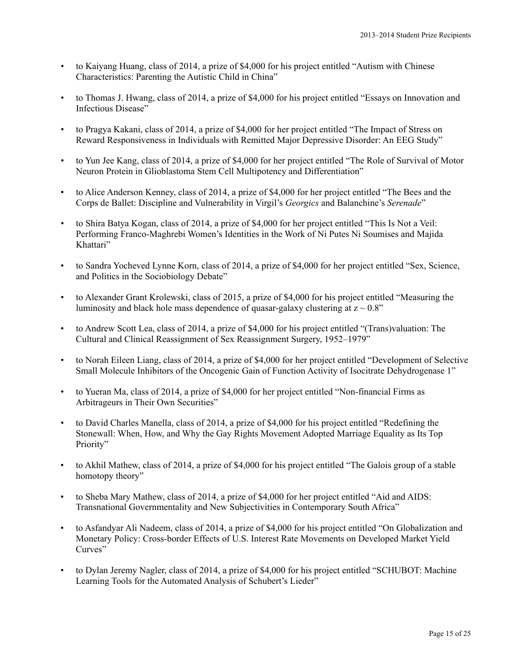- to Kaiyang Huang, class of 2014, a prize of \$4,000 for his project entitled "Autism with Chinese Characteristics: Parenting the Autistic Child in China"
- to Thomas J. Hwang, class of 2014, a prize of \$4,000 for his project entitled "Essays on Innovation and Infectious Disease"
- to Pragya Kakani, class of 2014, a prize of \$4,000 for her project entitled "The Impact of Stress on Reward Responsiveness in Individuals with Remitted Major Depressive Disorder: An EEG Study"
- to Yun Jee Kang, class of 2014, a prize of \$4,000 for her project entitled "The Role of Survival of Motor Neuron Protein in Glioblastoma Stem Cell Multipotency and Differentiation"
- to Alice Anderson Kenney, class of 2014, a prize of \$4,000 for her project entitled "The Bees and the Corps de Ballet: Discipline and Vulnerability in Virgil's *Georgics* and Balanchine's *Serenade*"
- to Shira Batya Kogan, class of 2014, a prize of \$4,000 for her project entitled "This Is Not a Veil: Performing Franco-Maghrebi Women's Identities in the Work of Ni Putes Ni Soumises and Majida Khattari"
- to Sandra Yocheved Lynne Korn, class of 2014, a prize of \$4,000 for her project entitled "Sex, Science, and Politics in the Sociobiology Debate"
- to Alexander Grant Krolewski, class of 2015, a prize of \$4,000 for his project entitled "Measuring the luminosity and black hole mass dependence of quasar-galaxy clustering at  $z \sim 0.8$ "
- to Andrew Scott Lea, class of 2014, a prize of \$4,000 for his project entitled "(Trans)valuation: The Cultural and Clinical Reassignment of Sex Reassignment Surgery, 1952–1979"
- to Norah Eileen Liang, class of 2014, a prize of \$4,000 for her project entitled "Development of Selective Small Molecule Inhibitors of the Oncogenic Gain of Function Activity of Isocitrate Dehydrogenase 1"
- to Yueran Ma, class of 2014, a prize of \$4,000 for her project entitled "Non-financial Firms as Arbitrageurs in Their Own Securities"
- to David Charles Manella, class of 2014, a prize of \$4,000 for his project entitled "Redefining the Stonewall: When, How, and Why the Gay Rights Movement Adopted Marriage Equality as Its Top Priority"
- to Akhil Mathew, class of 2014, a prize of \$4,000 for his project entitled "The Galois group of a stable homotopy theory"
- to Sheba Mary Mathew, class of 2014, a prize of \$4,000 for her project entitled "Aid and AIDS: Transnational Governmentality and New Subjectivities in Contemporary South Africa"
- to Asfandyar Ali Nadeem, class of 2014, a prize of \$4,000 for his project entitled "On Globalization and Monetary Policy: Cross-border Effects of U.S. Interest Rate Movements on Developed Market Yield Curves"
- to Dylan Jeremy Nagler, class of 2014, a prize of \$4,000 for his project entitled "SCHUBOT: Machine Learning Tools for the Automated Analysis of Schubert's Lieder"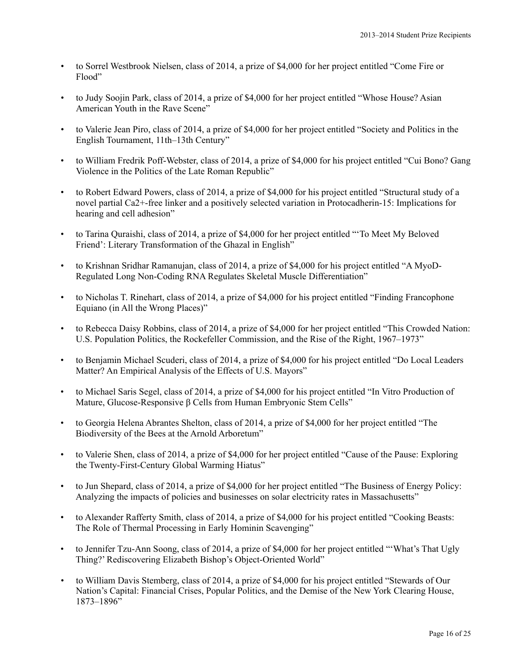- to Sorrel Westbrook Nielsen, class of 2014, a prize of \$4,000 for her project entitled "Come Fire or Flood"
- to Judy Soojin Park, class of 2014, a prize of \$4,000 for her project entitled "Whose House? Asian American Youth in the Rave Scene"
- to Valerie Jean Piro, class of 2014, a prize of \$4,000 for her project entitled "Society and Politics in the English Tournament, 11th–13th Century"
- to William Fredrik Poff-Webster, class of 2014, a prize of \$4,000 for his project entitled "Cui Bono? Gang Violence in the Politics of the Late Roman Republic"
- to Robert Edward Powers, class of 2014, a prize of \$4,000 for his project entitled "Structural study of a novel partial Ca2+-free linker and a positively selected variation in Protocadherin-15: Implications for hearing and cell adhesion"
- to Tarina Quraishi, class of 2014, a prize of \$4,000 for her project entitled "'To Meet My Beloved Friend': Literary Transformation of the Ghazal in English"
- to Krishnan Sridhar Ramanujan, class of 2014, a prize of \$4,000 for his project entitled "A MyoD-Regulated Long Non-Coding RNA Regulates Skeletal Muscle Differentiation"
- to Nicholas T. Rinehart, class of 2014, a prize of \$4,000 for his project entitled "Finding Francophone Equiano (in All the Wrong Places)"
- to Rebecca Daisy Robbins, class of 2014, a prize of \$4,000 for her project entitled "This Crowded Nation: U.S. Population Politics, the Rockefeller Commission, and the Rise of the Right, 1967–1973"
- to Benjamin Michael Scuderi, class of 2014, a prize of \$4,000 for his project entitled "Do Local Leaders Matter? An Empirical Analysis of the Effects of U.S. Mayors"
- to Michael Saris Segel, class of 2014, a prize of \$4,000 for his project entitled "In Vitro Production of Mature, Glucose-Responsive β Cells from Human Embryonic Stem Cells"
- to Georgia Helena Abrantes Shelton, class of 2014, a prize of \$4,000 for her project entitled "The Biodiversity of the Bees at the Arnold Arboretum"
- to Valerie Shen, class of 2014, a prize of \$4,000 for her project entitled "Cause of the Pause: Exploring the Twenty-First-Century Global Warming Hiatus"
- to Jun Shepard, class of 2014, a prize of \$4,000 for her project entitled "The Business of Energy Policy: Analyzing the impacts of policies and businesses on solar electricity rates in Massachusetts"
- to Alexander Rafferty Smith, class of 2014, a prize of \$4,000 for his project entitled "Cooking Beasts: The Role of Thermal Processing in Early Hominin Scavenging"
- to Jennifer Tzu-Ann Soong, class of 2014, a prize of \$4,000 for her project entitled "'What's That Ugly Thing?' Rediscovering Elizabeth Bishop's Object-Oriented World"
- to William Davis Stemberg, class of 2014, a prize of \$4,000 for his project entitled "Stewards of Our Nation's Capital: Financial Crises, Popular Politics, and the Demise of the New York Clearing House, 1873–1896"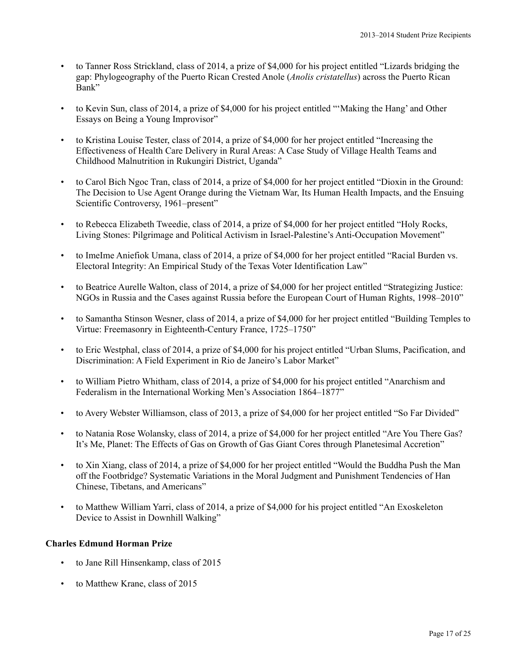- to Tanner Ross Strickland, class of 2014, a prize of \$4,000 for his project entitled "Lizards bridging the gap: Phylogeography of the Puerto Rican Crested Anole (*Anolis cristatellus*) across the Puerto Rican Bank"
- to Kevin Sun, class of 2014, a prize of \$4,000 for his project entitled "'Making the Hang' and Other Essays on Being a Young Improvisor"
- to Kristina Louise Tester, class of 2014, a prize of \$4,000 for her project entitled "Increasing the Effectiveness of Health Care Delivery in Rural Areas: A Case Study of Village Health Teams and Childhood Malnutrition in Rukungiri District, Uganda"
- to Carol Bich Ngoc Tran, class of 2014, a prize of \$4,000 for her project entitled "Dioxin in the Ground: The Decision to Use Agent Orange during the Vietnam War, Its Human Health Impacts, and the Ensuing Scientific Controversy, 1961–present"
- to Rebecca Elizabeth Tweedie, class of 2014, a prize of \$4,000 for her project entitled "Holy Rocks, Living Stones: Pilgrimage and Political Activism in Israel-Palestine's Anti-Occupation Movement"
- to ImeIme Aniefiok Umana, class of 2014, a prize of \$4,000 for her project entitled "Racial Burden vs. Electoral Integrity: An Empirical Study of the Texas Voter Identification Law"
- to Beatrice Aurelle Walton, class of 2014, a prize of \$4,000 for her project entitled "Strategizing Justice: NGOs in Russia and the Cases against Russia before the European Court of Human Rights, 1998–2010"
- to Samantha Stinson Wesner, class of 2014, a prize of \$4,000 for her project entitled "Building Temples to Virtue: Freemasonry in Eighteenth-Century France, 1725–1750"
- to Eric Westphal, class of 2014, a prize of \$4,000 for his project entitled "Urban Slums, Pacification, and Discrimination: A Field Experiment in Rio de Janeiro's Labor Market"
- to William Pietro Whitham, class of 2014, a prize of \$4,000 for his project entitled "Anarchism and Federalism in the International Working Men's Association 1864–1877"
- to Avery Webster Williamson, class of 2013, a prize of \$4,000 for her project entitled "So Far Divided"
- to Natania Rose Wolansky, class of 2014, a prize of \$4,000 for her project entitled "Are You There Gas? It's Me, Planet: The Effects of Gas on Growth of Gas Giant Cores through Planetesimal Accretion"
- to Xin Xiang, class of 2014, a prize of \$4,000 for her project entitled "Would the Buddha Push the Man off the Footbridge? Systematic Variations in the Moral Judgment and Punishment Tendencies of Han Chinese, Tibetans, and Americans"
- to Matthew William Yarri, class of 2014, a prize of \$4,000 for his project entitled "An Exoskeleton Device to Assist in Downhill Walking"

# **Charles Edmund Horman Prize**

- to Jane Rill Hinsenkamp, class of 2015
- to Matthew Krane, class of 2015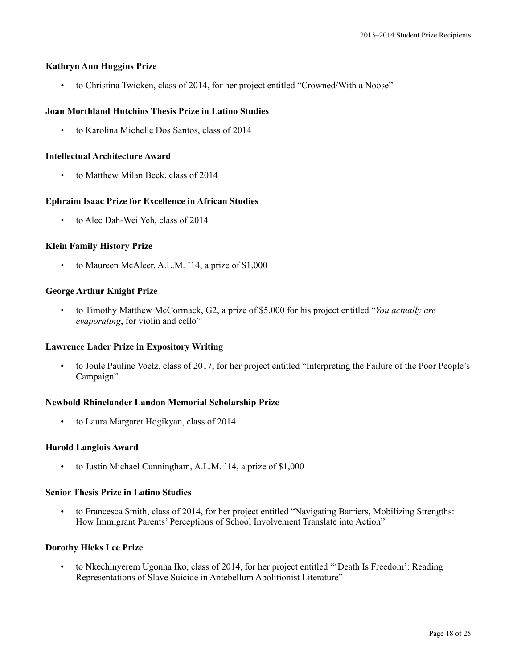# **Kathryn Ann Huggins Prize**

• to Christina Twicken, class of 2014, for her project entitled "Crowned/With a Noose"

# **Joan Morthland Hutchins Thesis Prize in Latino Studies**

• to Karolina Michelle Dos Santos, class of 2014

### **Intellectual Architecture Award**

• to Matthew Milan Beck, class of 2014

# **Ephraim Isaac Prize for Excellence in African Studies**

• to Alec Dah-Wei Yeh, class of 2014

# **Klein Family History Prize**

• to Maureen McAleer, A.L.M. '14, a prize of \$1,000

# **George Arthur Knight Prize**

• to Timothy Matthew McCormack, G2, a prize of \$5,000 for his project entitled "*You actually are evaporating*, for violin and cello"

# **Lawrence Lader Prize in Expository Writing**

• to Joule Pauline Voelz, class of 2017, for her project entitled "Interpreting the Failure of the Poor People's Campaign"

# **Newbold Rhinelander Landon Memorial Scholarship Prize**

• to Laura Margaret Hogikyan, class of 2014

# **Harold Langlois Award**

• to Justin Michael Cunningham, A.L.M. '14, a prize of \$1,000

# **Senior Thesis Prize in Latino Studies**

• to Francesca Smith, class of 2014, for her project entitled "Navigating Barriers, Mobilizing Strengths: How Immigrant Parents' Perceptions of School Involvement Translate into Action"

# **Dorothy Hicks Lee Prize**

• to Nkechinyerem Ugonna Iko, class of 2014, for her project entitled "'Death Is Freedom': Reading Representations of Slave Suicide in Antebellum Abolitionist Literature"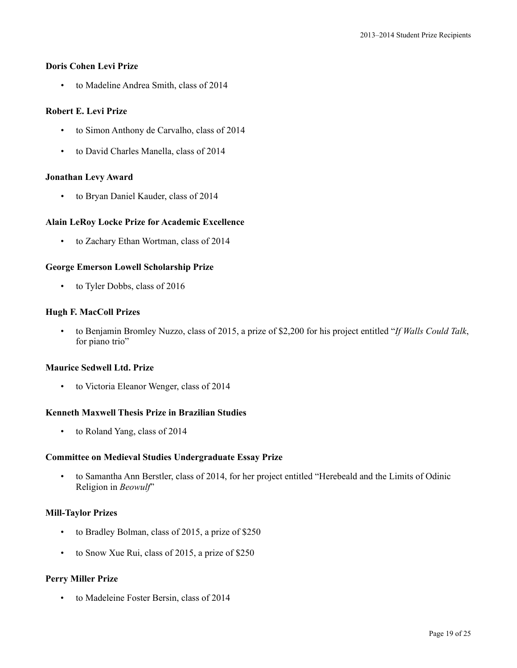### **Doris Cohen Levi Prize**

• to Madeline Andrea Smith, class of 2014

# **Robert E. Levi Prize**

- to Simon Anthony de Carvalho, class of 2014
- to David Charles Manella, class of 2014

### **Jonathan Levy Award**

• to Bryan Daniel Kauder, class of 2014

# **Alain LeRoy Locke Prize for Academic Excellence**

• to Zachary Ethan Wortman, class of 2014

# **George Emerson Lowell Scholarship Prize**

• to Tyler Dobbs, class of 2016

### **Hugh F. MacColl Prizes**

• to Benjamin Bromley Nuzzo, class of 2015, a prize of \$2,200 for his project entitled "*If Walls Could Talk*, for piano trio"

#### **Maurice Sedwell Ltd. Prize**

• to Victoria Eleanor Wenger, class of 2014

#### **Kenneth Maxwell Thesis Prize in Brazilian Studies**

• to Roland Yang, class of 2014

# **Committee on Medieval Studies Undergraduate Essay Prize**

• to Samantha Ann Berstler, class of 2014, for her project entitled "Herebeald and the Limits of Odinic Religion in *Beowulf*"

#### **Mill-Taylor Prizes**

- to Bradley Bolman, class of 2015, a prize of \$250
- to Snow Xue Rui, class of 2015, a prize of \$250

# **Perry Miller Prize**

• to Madeleine Foster Bersin, class of 2014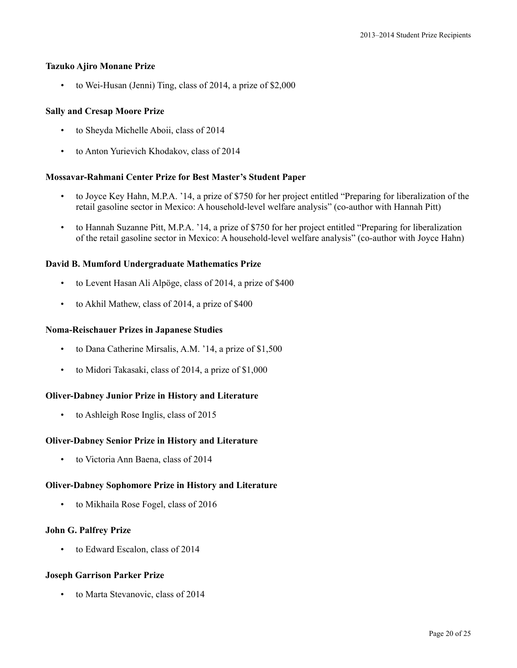#### **Tazuko Ajiro Monane Prize**

• to Wei-Husan (Jenni) Ting, class of 2014, a prize of \$2,000

### **Sally and Cresap Moore Prize**

- to Sheyda Michelle Aboii, class of 2014
- to Anton Yurievich Khodakov, class of 2014

#### **Mossavar-Rahmani Center Prize for Best Master's Student Paper**

- to Joyce Key Hahn, M.P.A. '14, a prize of \$750 for her project entitled "Preparing for liberalization of the retail gasoline sector in Mexico: A household-level welfare analysis" (co-author with Hannah Pitt)
- to Hannah Suzanne Pitt, M.P.A. '14, a prize of \$750 for her project entitled "Preparing for liberalization of the retail gasoline sector in Mexico: A household-level welfare analysis" (co-author with Joyce Hahn)

### **David B. Mumford Undergraduate Mathematics Prize**

- to Levent Hasan Ali Alpöge, class of 2014, a prize of \$400
- to Akhil Mathew, class of 2014, a prize of \$400

#### **Noma-Reischauer Prizes in Japanese Studies**

- to Dana Catherine Mirsalis, A.M. '14, a prize of \$1,500
- to Midori Takasaki, class of 2014, a prize of \$1,000

#### **Oliver-Dabney Junior Prize in History and Literature**

• to Ashleigh Rose Inglis, class of 2015

#### **Oliver-Dabney Senior Prize in History and Literature**

• to Victoria Ann Baena, class of 2014

#### **Oliver-Dabney Sophomore Prize in History and Literature**

• to Mikhaila Rose Fogel, class of 2016

#### **John G. Palfrey Prize**

• to Edward Escalon, class of 2014

### **Joseph Garrison Parker Prize**

• to Marta Stevanovic, class of 2014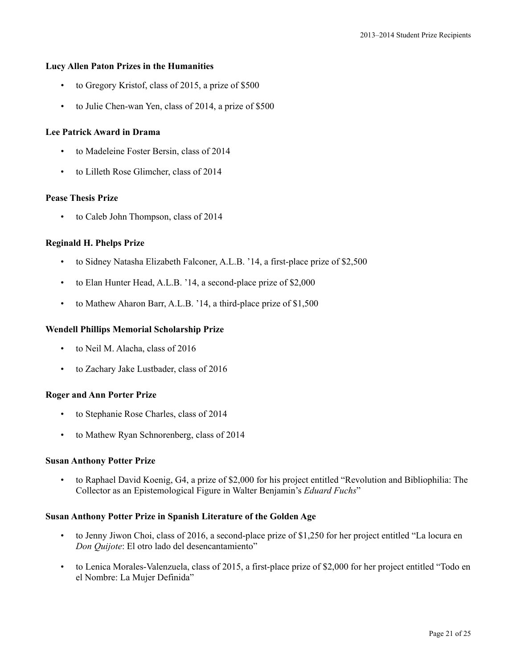### **Lucy Allen Paton Prizes in the Humanities**

- to Gregory Kristof, class of 2015, a prize of \$500
- to Julie Chen-wan Yen, class of 2014, a prize of \$500

### **Lee Patrick Award in Drama**

- to Madeleine Foster Bersin, class of 2014
- to Lilleth Rose Glimcher, class of 2014

#### **Pease Thesis Prize**

• to Caleb John Thompson, class of 2014

### **Reginald H. Phelps Prize**

- to Sidney Natasha Elizabeth Falconer, A.L.B. '14, a first-place prize of \$2,500
- to Elan Hunter Head, A.L.B. '14, a second-place prize of \$2,000
- to Mathew Aharon Barr, A.L.B. '14, a third-place prize of \$1,500

#### **Wendell Phillips Memorial Scholarship Prize**

- to Neil M. Alacha, class of 2016
- to Zachary Jake Lustbader, class of 2016

### **Roger and Ann Porter Prize**

- to Stephanie Rose Charles, class of 2014
- to Mathew Ryan Schnorenberg, class of 2014

#### **Susan Anthony Potter Prize**

• to Raphael David Koenig, G4, a prize of \$2,000 for his project entitled "Revolution and Bibliophilia: The Collector as an Epistemological Figure in Walter Benjamin's *Eduard Fuchs*"

#### **Susan Anthony Potter Prize in Spanish Literature of the Golden Age**

- to Jenny Jiwon Choi, class of 2016, a second-place prize of \$1,250 for her project entitled "La locura en *Don Quijote*: El otro lado del desencantamiento"
- to Lenica Morales-Valenzuela, class of 2015, a first-place prize of \$2,000 for her project entitled "Todo en el Nombre: La Mujer Definida"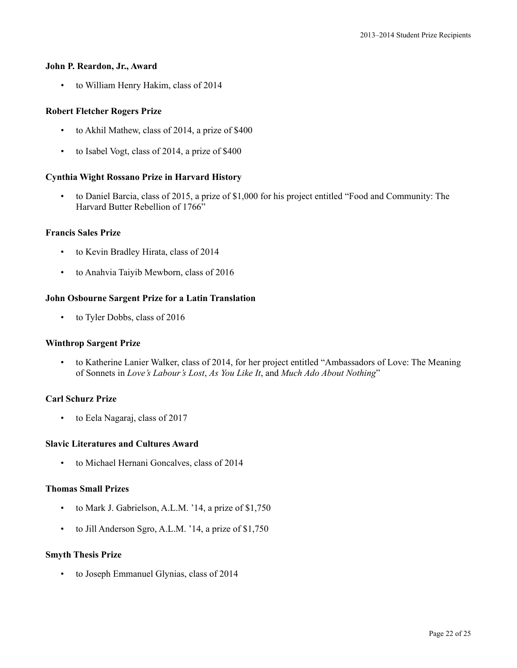#### **John P. Reardon, Jr., Award**

• to William Henry Hakim, class of 2014

### **Robert Fletcher Rogers Prize**

- to Akhil Mathew, class of 2014, a prize of \$400
- to Isabel Vogt, class of 2014, a prize of \$400

### **Cynthia Wight Rossano Prize in Harvard History**

• to Daniel Barcia, class of 2015, a prize of \$1,000 for his project entitled "Food and Community: The Harvard Butter Rebellion of 1766"

# **Francis Sales Prize**

- to Kevin Bradley Hirata, class of 2014
- to Anahvia Taiyib Mewborn, class of 2016

### **John Osbourne Sargent Prize for a Latin Translation**

• to Tyler Dobbs, class of 2016

### **Winthrop Sargent Prize**

• to Katherine Lanier Walker, class of 2014, for her project entitled "Ambassadors of Love: The Meaning of Sonnets in *Love's Labour's Lost*, *As You Like It*, and *Much Ado About Nothing*"

# **Carl Schurz Prize**

• to Eela Nagaraj, class of 2017

#### **Slavic Literatures and Cultures Award**

• to Michael Hernani Goncalves, class of 2014

# **Thomas Small Prizes**

- to Mark J. Gabrielson, A.L.M. '14, a prize of \$1,750
- to Jill Anderson Sgro, A.L.M. '14, a prize of \$1,750

#### **Smyth Thesis Prize**

• to Joseph Emmanuel Glynias, class of 2014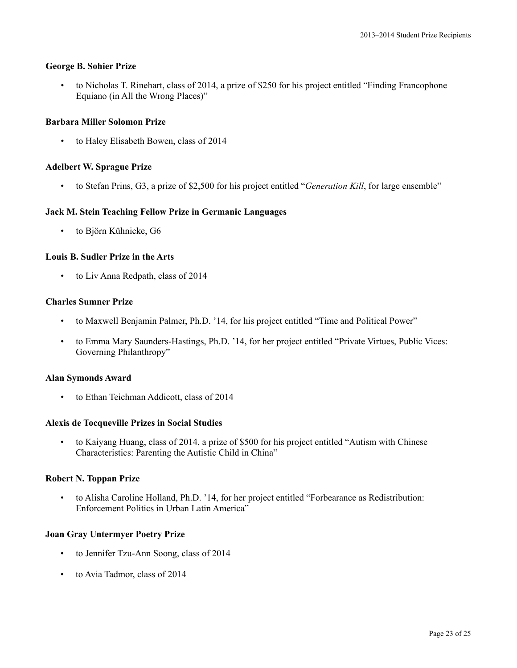### **George B. Sohier Prize**

• to Nicholas T. Rinehart, class of 2014, a prize of \$250 for his project entitled "Finding Francophone Equiano (in All the Wrong Places)"

### **Barbara Miller Solomon Prize**

• to Haley Elisabeth Bowen, class of 2014

### **Adelbert W. Sprague Prize**

• to Stefan Prins, G3, a prize of \$2,500 for his project entitled "*Generation Kill*, for large ensemble"

### **Jack M. Stein Teaching Fellow Prize in Germanic Languages**

• to Björn Kühnicke, G6

### **Louis B. Sudler Prize in the Arts**

• to Liv Anna Redpath, class of 2014

### **Charles Sumner Prize**

- to Maxwell Benjamin Palmer, Ph.D. '14, for his project entitled "Time and Political Power"
- to Emma Mary Saunders-Hastings, Ph.D. '14, for her project entitled "Private Virtues, Public Vices: Governing Philanthropy"

#### **Alan Symonds Award**

• to Ethan Teichman Addicott, class of 2014

#### **Alexis de Tocqueville Prizes in Social Studies**

• to Kaiyang Huang, class of 2014, a prize of \$500 for his project entitled "Autism with Chinese Characteristics: Parenting the Autistic Child in China"

#### **Robert N. Toppan Prize**

• to Alisha Caroline Holland, Ph.D. '14, for her project entitled "Forbearance as Redistribution: Enforcement Politics in Urban Latin America"

#### **Joan Gray Untermyer Poetry Prize**

- to Jennifer Tzu-Ann Soong, class of 2014
- to Avia Tadmor, class of 2014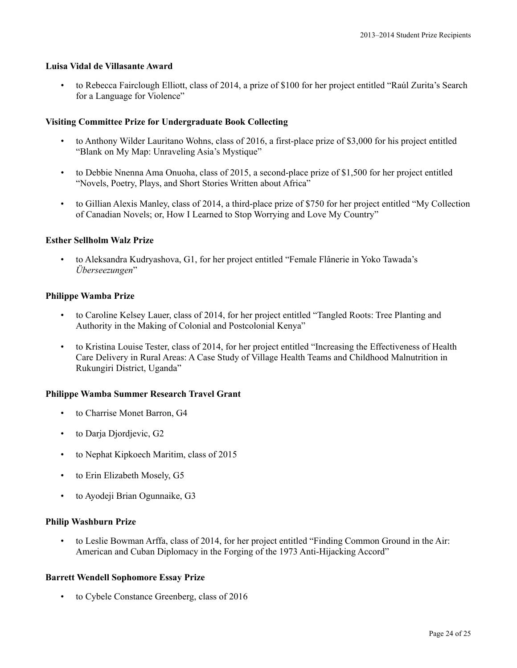# **Luisa Vidal de Villasante Award**

• to Rebecca Fairclough Elliott, class of 2014, a prize of \$100 for her project entitled "Raúl Zurita's Search for a Language for Violence"

### **Visiting Committee Prize for Undergraduate Book Collecting**

- to Anthony Wilder Lauritano Wohns, class of 2016, a first-place prize of \$3,000 for his project entitled "Blank on My Map: Unraveling Asia's Mystique"
- to Debbie Nnenna Ama Onuoha, class of 2015, a second-place prize of \$1,500 for her project entitled "Novels, Poetry, Plays, and Short Stories Written about Africa"
- to Gillian Alexis Manley, class of 2014, a third-place prize of \$750 for her project entitled "My Collection of Canadian Novels; or, How I Learned to Stop Worrying and Love My Country"

### **Esther Sellholm Walz Prize**

• to Aleksandra Kudryashova, G1, for her project entitled "Female Flânerie in Yoko Tawada's *Überseezungen*"

### **Philippe Wamba Prize**

- to Caroline Kelsey Lauer, class of 2014, for her project entitled "Tangled Roots: Tree Planting and Authority in the Making of Colonial and Postcolonial Kenya"
- to Kristina Louise Tester, class of 2014, for her project entitled "Increasing the Effectiveness of Health Care Delivery in Rural Areas: A Case Study of Village Health Teams and Childhood Malnutrition in Rukungiri District, Uganda"

# **Philippe Wamba Summer Research Travel Grant**

- to Charrise Monet Barron, G4
- to Darja Djordjevic, G2
- to Nephat Kipkoech Maritim, class of 2015
- to Erin Elizabeth Mosely, G5
- to Ayodeji Brian Ogunnaike, G3

# **Philip Washburn Prize**

• to Leslie Bowman Arffa, class of 2014, for her project entitled "Finding Common Ground in the Air: American and Cuban Diplomacy in the Forging of the 1973 Anti-Hijacking Accord"

# **Barrett Wendell Sophomore Essay Prize**

• to Cybele Constance Greenberg, class of 2016